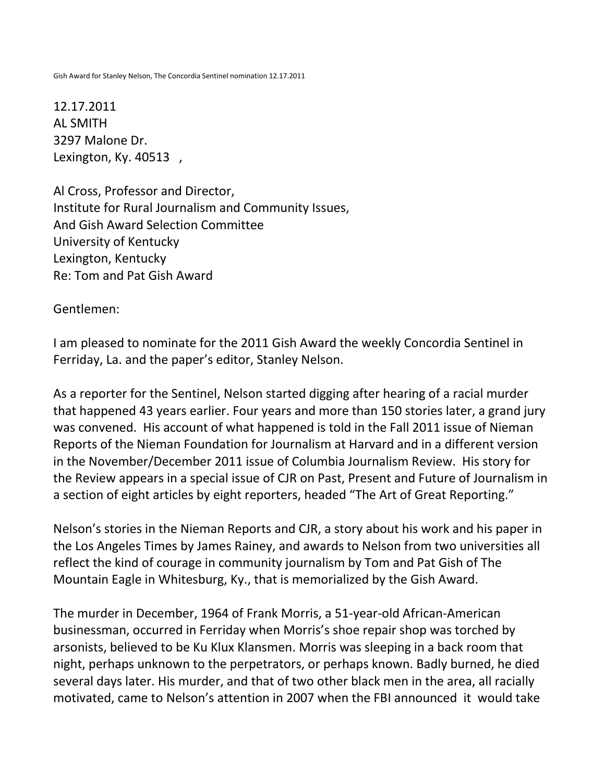Gish Award for Stanley Nelson, The Concordia Sentinel nomination 12.17.2011

12.17.2011 AL SMITH 3297 Malone Dr. Lexington, Ky. 40513 ,

Al Cross, Professor and Director, Institute for Rural Journalism and Community Issues, And Gish Award Selection Committee University of Kentucky Lexington, Kentucky Re: Tom and Pat Gish Award

Gentlemen:

I am pleased to nominate for the 2011 Gish Award the weekly Concordia Sentinel in Ferriday, La. and the paper's editor, Stanley Nelson.

As a reporter for the Sentinel, Nelson started digging after hearing of a racial murder that happened 43 years earlier. Four years and more than 150 stories later, a grand jury was convened. His account of what happened is told in the Fall 2011 issue of Nieman Reports of the Nieman Foundation for Journalism at Harvard and in a different version in the November/December 2011 issue of Columbia Journalism Review. His story for the Review appears in a special issue of CJR on Past, Present and Future of Journalism in a section of eight articles by eight reporters, headed "The Art of Great Reporting."

Nelson's stories in the Nieman Reports and CJR, a story about his work and his paper in the Los Angeles Times by James Rainey, and awards to Nelson from two universities all reflect the kind of courage in community journalism by Tom and Pat Gish of The Mountain Eagle in Whitesburg, Ky., that is memorialized by the Gish Award.

The murder in December, 1964 of Frank Morris, a 51-year-old African-American businessman, occurred in Ferriday when Morris's shoe repair shop was torched by arsonists, believed to be Ku Klux Klansmen. Morris was sleeping in a back room that night, perhaps unknown to the perpetrators, or perhaps known. Badly burned, he died several days later. His murder, and that of two other black men in the area, all racially motivated, came to Nelson's attention in 2007 when the FBI announced it would take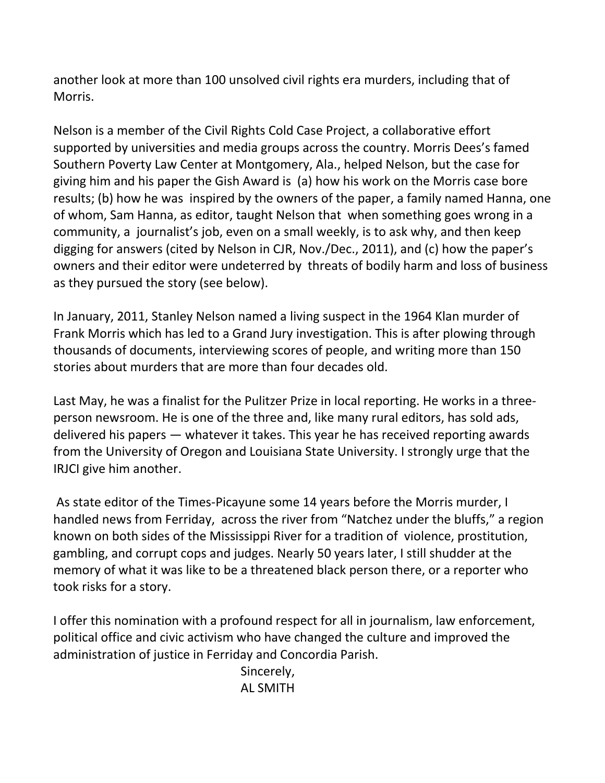another look at more than 100 unsolved civil rights era murders, including that of Morris.

Nelson is a member of the Civil Rights Cold Case Project, a collaborative effort supported by universities and media groups across the country. Morris Dees's famed Southern Poverty Law Center at Montgomery, Ala., helped Nelson, but the case for giving him and his paper the Gish Award is (a) how his work on the Morris case bore results; (b) how he was inspired by the owners of the paper, a family named Hanna, one of whom, Sam Hanna, as editor, taught Nelson that when something goes wrong in a community, a journalist's job, even on a small weekly, is to ask why, and then keep digging for answers (cited by Nelson in CJR, Nov./Dec., 2011), and (c) how the paper's owners and their editor were undeterred by threats of bodily harm and loss of business as they pursued the story (see below).

In January, 2011, Stanley Nelson named a living suspect in the 1964 Klan murder of Frank Morris which has led to a Grand Jury investigation. This is after plowing through thousands of documents, interviewing scores of people, and writing more than 150 stories about murders that are more than four decades old.

Last May, he was a finalist for the Pulitzer Prize in local reporting. He works in a threeperson newsroom. He is one of the three and, like many rural editors, has sold ads, delivered his papers — whatever it takes. This year he has received reporting awards from the University of Oregon and Louisiana State University. I strongly urge that the IRJCI give him another.

As state editor of the Times-Picayune some 14 years before the Morris murder, I handled news from Ferriday, across the river from "Natchez under the bluffs," a region known on both sides of the Mississippi River for a tradition of violence, prostitution, gambling, and corrupt cops and judges. Nearly 50 years later, I still shudder at the memory of what it was like to be a threatened black person there, or a reporter who took risks for a story.

I offer this nomination with a profound respect for all in journalism, law enforcement, political office and civic activism who have changed the culture and improved the administration of justice in Ferriday and Concordia Parish.

 Sincerely, AL SMITH